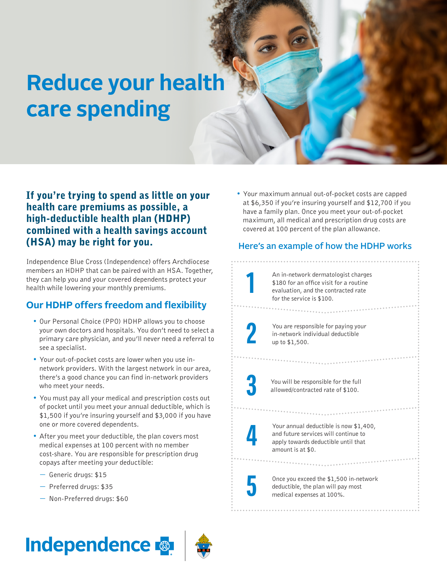# **Reduce your health care spending**

## If you're trying to spend as little on your health care premiums as possible, a high-deductible health plan (HDHP) combined with a health savings account (HSA) may be right for you.

Independence Blue Cross (Independence) offers Archdiocese members an HDHP that can be paired with an HSA. Together, they can help you and your covered dependents protect your health while lowering your monthly premiums.

## **Our HDHP offers freedom and flexibility**

- Our Personal Choice (PPO) HDHP allows you to choose your own doctors and hospitals. You don't need to select a primary care physician, and you'll never need a referral to see a specialist.
- Your out-of-pocket costs are lower when you use innetwork providers. With the largest network in our area, there's a good chance you can find in-network providers who meet your needs.
- You must pay all your medical and prescription costs out of pocket until you meet your annual deductible, which is \$1,500 if you're insuring yourself and \$3,000 if you have one or more covered dependents.
- After you meet your deductible, the plan covers most medical expenses at 100 percent with no member cost-share. You are responsible for prescription drug copays after meeting your deductible:
	- Generic drugs: \$15
	- Preferred drugs: \$35
	- Non-Preferred drugs: \$60

#### • Your maximum annual out-of-pocket costs are capped at \$6,350 if you're insuring yourself and \$12,700 if you have a family plan. Once you meet your out-of-pocket maximum, all medical and prescription drug costs are covered at 100 percent of the plan allowance.

### Here's an example of how the HDHP works

An in-network dermatologist charges \$180 for an office visit for a routine evaluation, and the contracted rate for the service is \$100.

You are responsible for paying your in-network individual deductible up to \$1,500.

**1**

**2**

**3**

**4**

**5**

You will be responsible for the full allowed/contracted rate of \$100.

Your annual deductible is now \$1,400, and future services will continue to apply towards deductible until that amount is at \$0.

Once you exceed the \$1,500 in-network deductible, the plan will pay most medical expenses at 100%.

## **Independence**